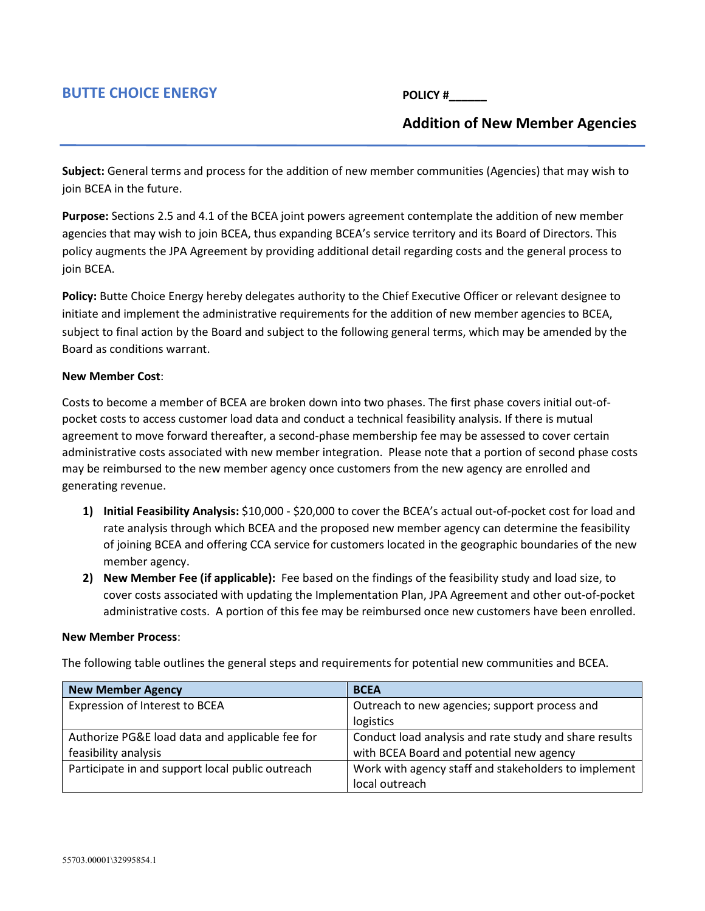## **BUTTE CHOICE ENERGY**

**POLICY #\_\_\_\_\_\_**

## **Addition of New Member Agencies**

**Subject:** General terms and process for the addition of new member communities (Agencies) that may wish to join BCEA in the future.

**Purpose:** Sections 2.5 and 4.1 of the BCEA joint powers agreement contemplate the addition of new member agencies that may wish to join BCEA, thus expanding BCEA's service territory and its Board of Directors. This policy augments the JPA Agreement by providing additional detail regarding costs and the general process to join BCEA.

**Policy:** Butte Choice Energy hereby delegates authority to the Chief Executive Officer or relevant designee to initiate and implement the administrative requirements for the addition of new member agencies to BCEA, subject to final action by the Board and subject to the following general terms, which may be amended by the Board as conditions warrant.

## **New Member Cost**:

Costs to become a member of BCEA are broken down into two phases. The first phase covers initial out-ofpocket costs to access customer load data and conduct a technical feasibility analysis. If there is mutual agreement to move forward thereafter, a second-phase membership fee may be assessed to cover certain administrative costs associated with new member integration. Please note that a portion of second phase costs may be reimbursed to the new member agency once customers from the new agency are enrolled and generating revenue.

- **1) Initial Feasibility Analysis:** \$10,000 \$20,000 to cover the BCEA's actual out-of-pocket cost for load and rate analysis through which BCEA and the proposed new member agency can determine the feasibility of joining BCEA and offering CCA service for customers located in the geographic boundaries of the new member agency.
- **2) New Member Fee (if applicable):** Fee based on the findings of the feasibility study and load size, to cover costs associated with updating the Implementation Plan, JPA Agreement and other out-of-pocket administrative costs. A portion of this fee may be reimbursed once new customers have been enrolled.

## **New Member Process**:

The following table outlines the general steps and requirements for potential new communities and BCEA.

| <b>New Member Agency</b>                         | <b>BCEA</b>                                            |
|--------------------------------------------------|--------------------------------------------------------|
| Expression of Interest to BCEA                   | Outreach to new agencies; support process and          |
|                                                  | logistics                                              |
| Authorize PG&E load data and applicable fee for  | Conduct load analysis and rate study and share results |
| feasibility analysis                             | with BCEA Board and potential new agency               |
| Participate in and support local public outreach | Work with agency staff and stakeholders to implement   |
|                                                  | local outreach                                         |